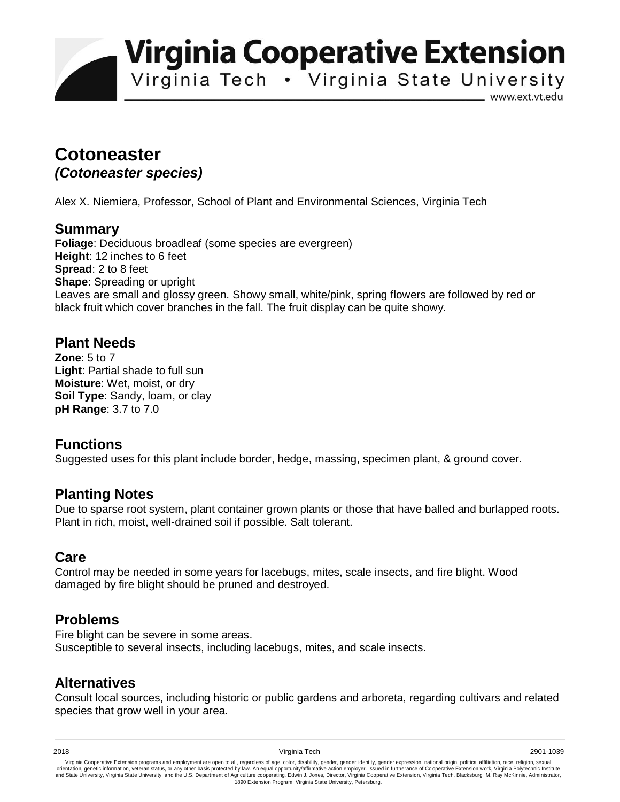**Virginia Cooperative Extension** 

Virginia Tech . Virginia State University

www.ext.vt.edu

# **Cotoneaster**  *(Cotoneaster species)*

Alex X. Niemiera, Professor, School of Plant and Environmental Sciences, Virginia Tech

#### **Summary**

**Foliage**: Deciduous broadleaf (some species are evergreen) **Height**: 12 inches to 6 feet **Spread**: 2 to 8 feet **Shape**: Spreading or upright Leaves are small and glossy green. Showy small, white/pink, spring flowers are followed by red or black fruit which cover branches in the fall. The fruit display can be quite showy.

## **Plant Needs**

**Zone**: 5 to 7 **Light**: Partial shade to full sun **Moisture**: Wet, moist, or dry **Soil Type**: Sandy, loam, or clay **pH Range**: 3.7 to 7.0

## **Functions**

Suggested uses for this plant include border, hedge, massing, specimen plant, & ground cover.

## **Planting Notes**

Due to sparse root system, plant container grown plants or those that have balled and burlapped roots. Plant in rich, moist, well-drained soil if possible. Salt tolerant.

#### **Care**

Control may be needed in some years for lacebugs, mites, scale insects, and fire blight. Wood damaged by fire blight should be pruned and destroyed.

## **Problems**

Fire blight can be severe in some areas. Susceptible to several insects, including lacebugs, mites, and scale insects.

## **Alternatives**

Consult local sources, including historic or public gardens and arboreta, regarding cultivars and related species that grow well in your area.

Virginia Cooperative Extension programs and employment are open to all, regardless of age, color, disability, gender, gender identity, gender expression, national origin, political affiliation, race, religion, sexual وrie 1890 Extension Program, Virginia State University, Petersburg.